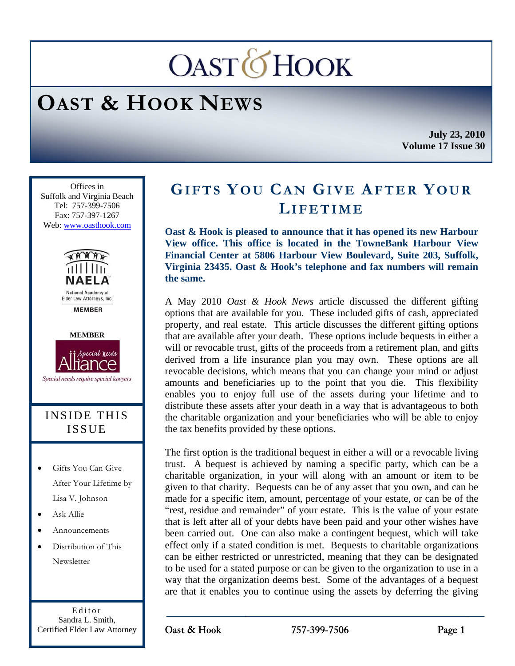# **OASTOHOOK**

## **OAST & HOOK NEWS**

**July 23, 2010 Volume 17 Issue 30** 

Ī Offices in Suffolk and Virginia Beach Tel: 757-399-7506 Fax: 757-397-1267 Web: www.oasthook.com



**MEMBER** 



Special needs require special lawyers.

## INSIDE THIS ISSUE

- Gifts You Can Give After Your Lifetime by Lisa V. Johnson
- Ask Allie
- Announcements
- Distribution of This Newsletter

Editor Sandra L. Smith, Certified Elder Law Attorney

## **GIFTS YOU CAN GIVE AFTER YOUR LIFETIME**

**Oast & Hook is pleased to announce that it has opened its new Harbour View office. This office is located in the TowneBank Harbour View Financial Center at 5806 Harbour View Boulevard, Suite 203, Suffolk, Virginia 23435. Oast & Hook's telephone and fax numbers will remain the same.** 

A May 2010 *Oast & Hook News* article discussed the different gifting options that are available for you. These included gifts of cash, appreciated property, and real estate. This article discusses the different gifting options that are available after your death. These options include bequests in either a will or revocable trust, gifts of the proceeds from a retirement plan, and gifts derived from a life insurance plan you may own. These options are all revocable decisions, which means that you can change your mind or adjust amounts and beneficiaries up to the point that you die. This flexibility enables you to enjoy full use of the assets during your lifetime and to distribute these assets after your death in a way that is advantageous to both the charitable organization and your beneficiaries who will be able to enjoy the tax benefits provided by these options.

The first option is the traditional bequest in either a will or a revocable living trust. A bequest is achieved by naming a specific party, which can be a charitable organization, in your will along with an amount or item to be given to that charity. Bequests can be of any asset that you own, and can be made for a specific item, amount, percentage of your estate, or can be of the "rest, residue and remainder" of your estate. This is the value of your estate that is left after all of your debts have been paid and your other wishes have been carried out. One can also make a contingent bequest, which will take effect only if a stated condition is met. Bequests to charitable organizations can be either restricted or unrestricted, meaning that they can be designated to be used for a stated purpose or can be given to the organization to use in a way that the organization deems best. Some of the advantages of a bequest are that it enables you to continue using the assets by deferring the giving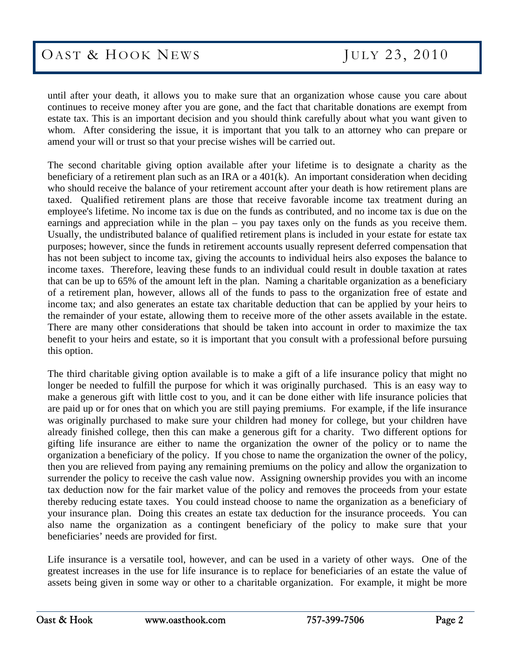until after your death, it allows you to make sure that an organization whose cause you care about continues to receive money after you are gone, and the fact that charitable donations are exempt from estate tax. This is an important decision and you should think carefully about what you want given to whom. After considering the issue, it is important that you talk to an attorney who can prepare or amend your will or trust so that your precise wishes will be carried out.

The second charitable giving option available after your lifetime is to designate a charity as the beneficiary of a retirement plan such as an IRA or a 401(k). An important consideration when deciding who should receive the balance of your retirement account after your death is how retirement plans are taxed. Qualified retirement plans are those that receive favorable income tax treatment during an employee's lifetime. No income tax is due on the funds as contributed, and no income tax is due on the earnings and appreciation while in the plan – you pay taxes only on the funds as you receive them. Usually, the undistributed balance of qualified retirement plans is included in your estate for estate tax purposes; however, since the funds in retirement accounts usually represent deferred compensation that has not been subject to income tax, giving the accounts to individual heirs also exposes the balance to income taxes. Therefore, leaving these funds to an individual could result in double taxation at rates that can be up to 65% of the amount left in the plan. Naming a charitable organization as a beneficiary of a retirement plan, however, allows all of the funds to pass to the organization free of estate and income tax; and also generates an estate tax charitable deduction that can be applied by your heirs to the remainder of your estate, allowing them to receive more of the other assets available in the estate. There are many other considerations that should be taken into account in order to maximize the tax benefit to your heirs and estate, so it is important that you consult with a professional before pursuing this option.

The third charitable giving option available is to make a gift of a life insurance policy that might no longer be needed to fulfill the purpose for which it was originally purchased. This is an easy way to make a generous gift with little cost to you, and it can be done either with life insurance policies that are paid up or for ones that on which you are still paying premiums. For example, if the life insurance was originally purchased to make sure your children had money for college, but your children have already finished college, then this can make a generous gift for a charity. Two different options for gifting life insurance are either to name the organization the owner of the policy or to name the organization a beneficiary of the policy. If you chose to name the organization the owner of the policy, then you are relieved from paying any remaining premiums on the policy and allow the organization to surrender the policy to receive the cash value now. Assigning ownership provides you with an income tax deduction now for the fair market value of the policy and removes the proceeds from your estate thereby reducing estate taxes. You could instead choose to name the organization as a beneficiary of your insurance plan. Doing this creates an estate tax deduction for the insurance proceeds. You can also name the organization as a contingent beneficiary of the policy to make sure that your beneficiaries' needs are provided for first.

Life insurance is a versatile tool, however, and can be used in a variety of other ways. One of the greatest increases in the use for life insurance is to replace for beneficiaries of an estate the value of assets being given in some way or other to a charitable organization. For example, it might be more